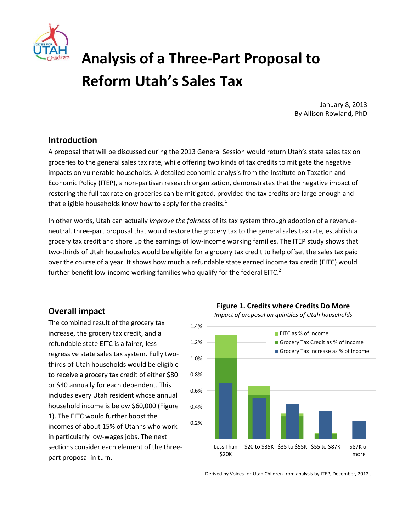

# **Analysis of a Three-Part Proposal to Reform Utah's Sales Tax**

January 8, 2013 By Allison Rowland, PhD

## **Introduction**

A proposal that will be discussed during the 2013 General Session would return Utah's state sales tax on groceries to the general sales tax rate, while offering two kinds of tax credits to mitigate the negative impacts on vulnerable households. A detailed economic analysis from the Institute on Taxation and Economic Policy (ITEP), a non-partisan research organization, demonstrates that the negative impact of restoring the full tax rate on groceries can be mitigated, provided the tax credits are large enough and that eligible households know how to apply for the credits. $1$ 

In other words, Utah can actually *improve the fairness* of its tax system through adoption of a revenueneutral, three-part proposal that would restore the grocery tax to the general sales tax rate, establish a grocery tax credit and shore up the earnings of low-income working families. The ITEP study shows that two-thirds of Utah households would be eligible for a grocery tax credit to help offset the sales tax paid over the course of a year. It shows how much a refundable state earned income tax credit (EITC) would further benefit low-income working families who qualify for the federal EITC.<sup>2</sup>

## **Overall impact**

The combined result of the grocery tax increase, the grocery tax credit, and a refundable state EITC is a fairer, less regressive state sales tax system. Fully twothirds of Utah households would be eligible to receive a grocery tax credit of either \$80 or \$40 annually for each dependent. This includes every Utah resident whose annual household income is below \$60,000 (Figure 1). The EITC would further boost the incomes of about 15% of Utahns who work in particularly low-wages jobs. The next sections consider each element of the threepart proposal in turn.

**Figure 1. Credits where Credits Do More**

*Impact of proposal on quintiles of Utah households*



Derived by Voices for Utah Children from analysis by ITEP, December, 2012 .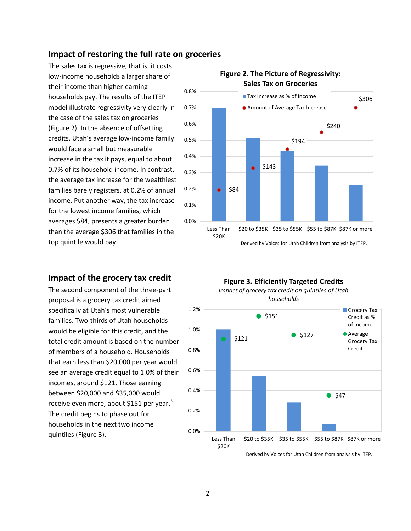## **Impact of restoring the full rate on groceries**

The sales tax is regressive, that is, it costs low-income households a larger share of their income than higher-earning households pay. The results of the ITEP model illustrate regressivity very clearly in the case of the sales tax on groceries (Figure 2). In the absence of offsetting credits, Utah's average low-income family would face a small but measurable increase in the tax it pays, equal to about 0.7% of its household income. In contrast, the average tax increase for the wealthiest families barely registers, at 0.2% of annual income. Put another way, the tax increase for the lowest income families, which averages \$84, presents a greater burden than the average \$306 that families in the top quintile would pay.

## **Impact of the grocery tax credit**

The second component of the three-part proposal is a grocery tax credit aimed specifically at Utah's most vulnerable families. Two-thirds of Utah households would be eligible for this credit, and the total credit amount is based on the number of members of a household. Households that earn less than \$20,000 per year would see an average credit equal to 1.0% of their incomes, around \$121. Those earning between \$20,000 and \$35,000 would receive even more, about \$151 per year.<sup>3</sup> The credit begins to phase out for households in the next two income quintiles (Figure 3).



#### **Figure 2. The Picture of Regressivity: Sales Tax on Groceries**

Derived by Voices for Utah Children from analysis by ITEP.

#### **Figure 3. Efficiently Targeted Credits** *Impact of grocery tax credit on quintiles of Utah households*



Derived by Voices for Utah Children from analysis by ITEP.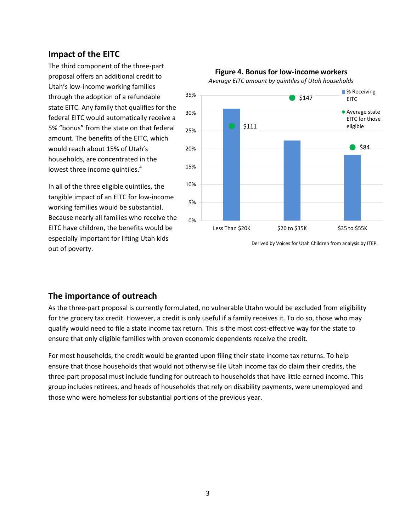## **Impact of the EITC**

The third component of the three-part proposal offers an additional credit to Utah's low-income working families through the adoption of a refundable state EITC. Any family that qualifies for the federal EITC would automatically receive a 5% "bonus" from the state on that federal amount. The benefits of the EITC, which would reach about 15% of Utah's households, are concentrated in the lowest three income quintiles.<sup>4</sup>

In all of the three eligible quintiles, the tangible impact of an EITC for low-income working families would be substantial. Because nearly all families who receive the EITC have children, the benefits would be especially important for lifting Utah kids out of poverty.



#### **Figure 4. Bonus for low-income workers** *Average EITC amount by quintiles of Utah households*

Derived by Voices for Utah Children from analysis by ITEP.

# **The importance of outreach**

As the three-part proposal is currently formulated, no vulnerable Utahn would be excluded from eligibility for the grocery tax credit. However, a credit is only useful if a family receives it. To do so, those who may qualify would need to file a state income tax return. This is the most cost-effective way for the state to ensure that only eligible families with proven economic dependents receive the credit.

For most households, the credit would be granted upon filing their state income tax returns. To help ensure that those households that would not otherwise file Utah income tax do claim their credits, the three-part proposal must include funding for outreach to households that have little earned income. This group includes retirees, and heads of households that rely on disability payments, were unemployed and those who were homeless for substantial portions of the previous year.